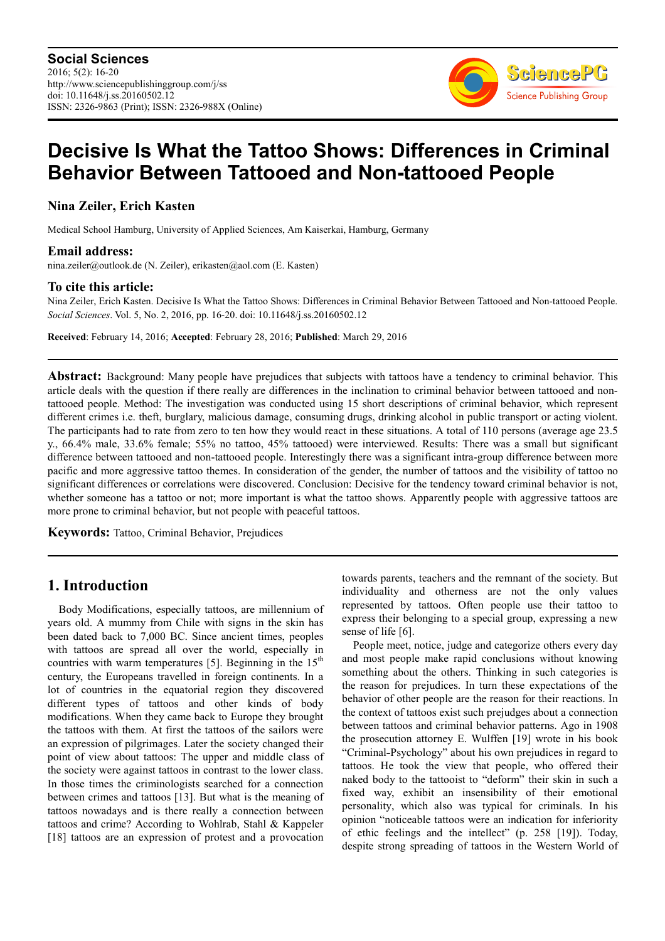

# **Decisive Is What the Tattoo Shows: Differences in Criminal Behavior Between Tattooed and Non-tattooed People**

# **Nina Zeiler, Erich Kasten**

Medical School Hamburg, University of Applied Sciences, Am Kaiserkai, Hamburg, Germany

### **Email address:**

nina.zeiler@outlook.de (N. Zeiler), erikasten@aol.com (E. Kasten)

### **To cite this article:**

Nina Zeiler, Erich Kasten. Decisive Is What the Tattoo Shows: Differences in Criminal Behavior Between Tattooed and Non-tattooed People. *Social Sciences*. Vol. 5, No. 2, 2016, pp. 16-20. doi: 10.11648/j.ss.20160502.12

**Received**: February 14, 2016; **Accepted**: February 28, 2016; **Published**: March 29, 2016

**Abstract:** Background: Many people have prejudices that subjects with tattoos have a tendency to criminal behavior. This article deals with the question if there really are differences in the inclination to criminal behavior between tattooed and nontattooed people. Method: The investigation was conducted using 15 short descriptions of criminal behavior, which represent different crimes i.e. theft, burglary, malicious damage, consuming drugs, drinking alcohol in public transport or acting violent. The participants had to rate from zero to ten how they would react in these situations. A total of 110 persons (average age 23.5 y., 66.4% male, 33.6% female; 55% no tattoo, 45% tattooed) were interviewed. Results: There was a small but significant difference between tattooed and non-tattooed people. Interestingly there was a significant intra-group difference between more pacific and more aggressive tattoo themes. In consideration of the gender, the number of tattoos and the visibility of tattoo no significant differences or correlations were discovered. Conclusion: Decisive for the tendency toward criminal behavior is not, whether someone has a tattoo or not; more important is what the tattoo shows. Apparently people with aggressive tattoos are more prone to criminal behavior, but not people with peaceful tattoos.

**Keywords:** Tattoo, Criminal Behavior, Prejudices

# **1. Introduction**

Body Modifications, especially tattoos, are millennium of years old. A mummy from Chile with signs in the skin has been dated back to 7,000 BC. Since ancient times, peoples with tattoos are spread all over the world, especially in countries with warm temperatures [5]. Beginning in the  $15<sup>th</sup>$ century, the Europeans travelled in foreign continents. In a lot of countries in the equatorial region they discovered different types of tattoos and other kinds of body modifications. When they came back to Europe they brought the tattoos with them. At first the tattoos of the sailors were an expression of pilgrimages. Later the society changed their point of view about tattoos: The upper and middle class of the society were against tattoos in contrast to the lower class. In those times the criminologists searched for a connection between crimes and tattoos [13]. But what is the meaning of tattoos nowadays and is there really a connection between tattoos and crime? According to Wohlrab, Stahl & Kappeler [18] tattoos are an expression of protest and a provocation towards parents, teachers and the remnant of the society. But individuality and otherness are not the only values represented by tattoos. Often people use their tattoo to express their belonging to a special group, expressing a new sense of life [6].

People meet, notice, judge and categorize others every day and most people make rapid conclusions without knowing something about the others. Thinking in such categories is the reason for prejudices. In turn these expectations of the behavior of other people are the reason for their reactions. In the context of tattoos exist such prejudges about a connection between tattoos and criminal behavior patterns. Ago in 1908 the prosecution attorney E. Wulffen [19] wrote in his book "Criminal-Psychology" about his own prejudices in regard to tattoos. He took the view that people, who offered their naked body to the tattooist to "deform" their skin in such a fixed way, exhibit an insensibility of their emotional personality, which also was typical for criminals. In his opinion "noticeable tattoos were an indication for inferiority of ethic feelings and the intellect" (p. 258 [19]). Today, despite strong spreading of tattoos in the Western World of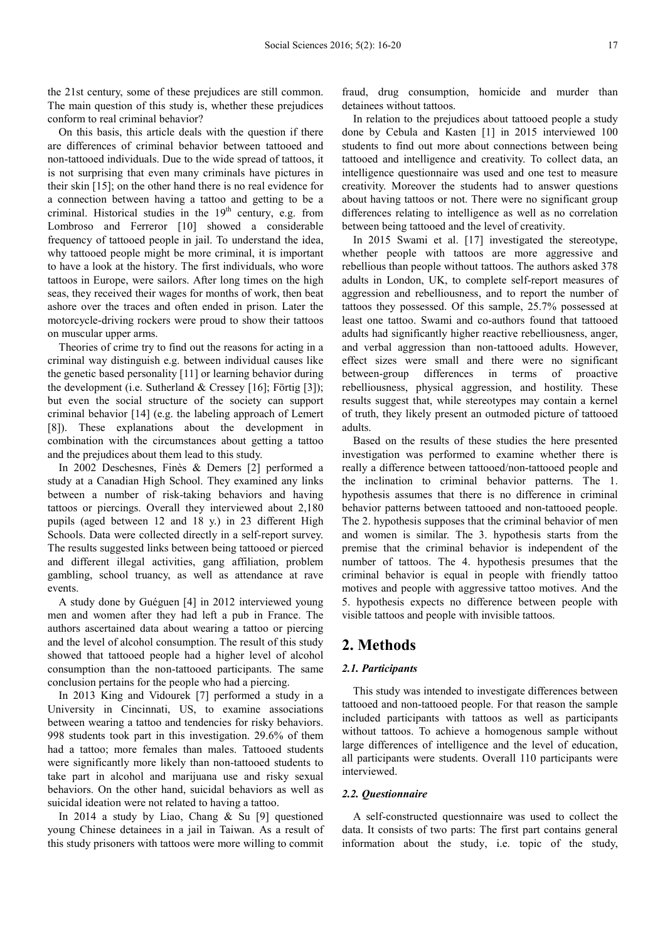the 21st century, some of these prejudices are still common. The main question of this study is, whether these prejudices conform to real criminal behavior?

On this basis, this article deals with the question if there are differences of criminal behavior between tattooed and non-tattooed individuals. Due to the wide spread of tattoos, it is not surprising that even many criminals have pictures in their skin [15]; on the other hand there is no real evidence for a connection between having a tattoo and getting to be a criminal. Historical studies in the 19<sup>th</sup> century, e.g. from Lombroso and Ferreror [10] showed a considerable frequency of tattooed people in jail. To understand the idea, why tattooed people might be more criminal, it is important to have a look at the history. The first individuals, who wore tattoos in Europe, were sailors. After long times on the high seas, they received their wages for months of work, then beat ashore over the traces and often ended in prison. Later the motorcycle-driving rockers were proud to show their tattoos on muscular upper arms.

Theories of crime try to find out the reasons for acting in a criminal way distinguish e.g. between individual causes like the genetic based personality [11] or learning behavior during the development (i.e. Sutherland & Cressey [16]; Förtig [3]); but even the social structure of the society can support criminal behavior [14] (e.g. the labeling approach of Lemert [8]). These explanations about the development in combination with the circumstances about getting a tattoo and the prejudices about them lead to this study.

In 2002 Deschesnes, Finès & Demers [2] performed a study at a Canadian High School. They examined any links between a number of risk-taking behaviors and having tattoos or piercings. Overall they interviewed about 2,180 pupils (aged between 12 and 18 y.) in 23 different High Schools. Data were collected directly in a self-report survey. The results suggested links between being tattooed or pierced and different illegal activities, gang affiliation, problem gambling, school truancy, as well as attendance at rave events.

A study done by Guéguen [4] in 2012 interviewed young men and women after they had left a pub in France. The authors ascertained data about wearing a tattoo or piercing and the level of alcohol consumption. The result of this study showed that tattooed people had a higher level of alcohol consumption than the non-tattooed participants. The same conclusion pertains for the people who had a piercing.

In 2013 King and Vidourek [7] performed a study in a University in Cincinnati, US, to examine associations between wearing a tattoo and tendencies for risky behaviors. 998 students took part in this investigation. 29.6% of them had a tattoo; more females than males. Tattooed students were significantly more likely than non-tattooed students to take part in alcohol and marijuana use and risky sexual behaviors. On the other hand, suicidal behaviors as well as suicidal ideation were not related to having a tattoo.

In 2014 a study by Liao, Chang & Su [9] questioned young Chinese detainees in a jail in Taiwan. As a result of this study prisoners with tattoos were more willing to commit

fraud, drug consumption, homicide and murder than detainees without tattoos.

In relation to the prejudices about tattooed people a study done by Cebula and Kasten [1] in 2015 interviewed 100 students to find out more about connections between being tattooed and intelligence and creativity. To collect data, an intelligence questionnaire was used and one test to measure creativity. Moreover the students had to answer questions about having tattoos or not. There were no significant group differences relating to intelligence as well as no correlation between being tattooed and the level of creativity.

In 2015 Swami et al. [17] investigated the stereotype, whether people with tattoos are more aggressive and rebellious than people without tattoos. The authors asked 378 adults in London, UK, to complete self-report measures of aggression and rebelliousness, and to report the number of tattoos they possessed. Of this sample, 25.7% possessed at least one tattoo. Swami and co-authors found that tattooed adults had significantly higher reactive rebelliousness, anger, and verbal aggression than non-tattooed adults. However, effect sizes were small and there were no significant between-group differences in terms of proactive rebelliousness, physical aggression, and hostility. These results suggest that, while stereotypes may contain a kernel of truth, they likely present an outmoded picture of tattooed adults.

Based on the results of these studies the here presented investigation was performed to examine whether there is really a difference between tattooed/non-tattooed people and the inclination to criminal behavior patterns. The 1. hypothesis assumes that there is no difference in criminal behavior patterns between tattooed and non-tattooed people. The 2. hypothesis supposes that the criminal behavior of men and women is similar. The 3. hypothesis starts from the premise that the criminal behavior is independent of the number of tattoos. The 4. hypothesis presumes that the criminal behavior is equal in people with friendly tattoo motives and people with aggressive tattoo motives. And the 5. hypothesis expects no difference between people with visible tattoos and people with invisible tattoos.

# **2. Methods**

### *2.1. Participants*

This study was intended to investigate differences between tattooed and non-tattooed people. For that reason the sample included participants with tattoos as well as participants without tattoos. To achieve a homogenous sample without large differences of intelligence and the level of education, all participants were students. Overall 110 participants were interviewed.

#### *2.2. Questionnaire*

A self-constructed questionnaire was used to collect the data. It consists of two parts: The first part contains general information about the study, i.e. topic of the study,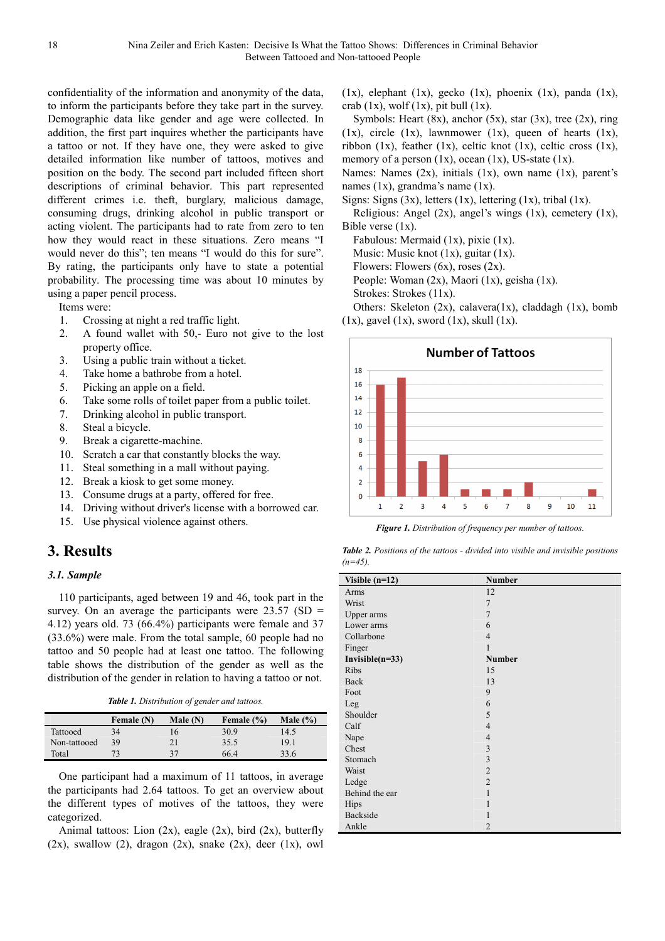confidentiality of the information and anonymity of the data, to inform the participants before they take part in the survey. Demographic data like gender and age were collected. In addition, the first part inquires whether the participants have a tattoo or not. If they have one, they were asked to give detailed information like number of tattoos, motives and position on the body. The second part included fifteen short descriptions of criminal behavior. This part represented different crimes i.e. theft, burglary, malicious damage, consuming drugs, drinking alcohol in public transport or acting violent. The participants had to rate from zero to ten how they would react in these situations. Zero means "I would never do this"; ten means "I would do this for sure". By rating, the participants only have to state a potential probability. The processing time was about 10 minutes by using a paper pencil process.

Items were:

- 1. Crossing at night a red traffic light.
- 2. A found wallet with 50,- Euro not give to the lost property office.
- 3. Using a public train without a ticket.
- 4. Take home a bathrobe from a hotel.
- 5. Picking an apple on a field.
- 6. Take some rolls of toilet paper from a public toilet.
- 7. Drinking alcohol in public transport.
- 8. Steal a bicycle.
- 9. Break a cigarette-machine.
- 10. Scratch a car that constantly blocks the way.
- 11. Steal something in a mall without paying.
- 12. Break a kiosk to get some money.
- 13. Consume drugs at a party, offered for free.
- 14. Driving without driver's license with a borrowed car.
- 15. Use physical violence against others.

# **3. Results**

### *3.1. Sample*

110 participants, aged between 19 and 46, took part in the survey. On an average the participants were  $23.57$  (SD = 4.12) years old. 73 (66.4%) participants were female and 37 (33.6%) were male. From the total sample, 60 people had no tattoo and 50 people had at least one tattoo. The following table shows the distribution of the gender as well as the distribution of the gender in relation to having a tattoo or not.

*Table 1. Distribution of gender and tattoos.* 

|              | Female (N) | Male $(N)$      | Female (%) | Male $(\% )$ |
|--------------|------------|-----------------|------------|--------------|
| Tattooed     | 34         | 40 <sup>1</sup> | 30.9       | 14.5         |
| Non-tattooed | 39         |                 | 35.5       | 19.1         |
| Total        | 73         | 27              | 66.4       | 33.6         |

One participant had a maximum of 11 tattoos, in average the participants had 2.64 tattoos. To get an overview about the different types of motives of the tattoos, they were categorized.

Animal tattoos: Lion  $(2x)$ , eagle  $(2x)$ , bird  $(2x)$ , butterfly  $(2x)$ , swallow  $(2)$ , dragon  $(2x)$ , snake  $(2x)$ , deer  $(1x)$ , owl

(1x), elephant (1x), gecko (1x), phoenix (1x), panda (1x), crab  $(1x)$ , wolf  $(1x)$ , pit bull  $(1x)$ .

Symbols: Heart  $(8x)$ , anchor  $(5x)$ , star  $(3x)$ , tree  $(2x)$ , ring (1x), circle (1x), lawnmower (1x), queen of hearts (1x), ribbon (1x), feather (1x), celtic knot (1x), celtic cross (1x), memory of a person  $(1x)$ , ocean  $(1x)$ , US-state  $(1x)$ .

Names: Names (2x), initials (1x), own name (1x), parent's names (1x), grandma's name (1x).

Signs: Signs  $(3x)$ , letters  $(1x)$ , lettering  $(1x)$ , tribal  $(1x)$ .

Religious: Angel (2x), angel's wings (1x), cemetery (1x), Bible verse (1x).

Fabulous: Mermaid (1x), pixie (1x).

Music: Music knot  $(1x)$ , guitar  $(1x)$ .

Flowers: Flowers  $(6x)$ , roses  $(2x)$ .

People: Woman (2x), Maori (1x), geisha (1x).

Strokes: Strokes (11x).

Others: Skeleton (2x), calavera(1x), claddagh (1x), bomb  $(1x)$ , gavel  $(1x)$ , sword  $(1x)$ , skull  $(1x)$ .



*Figure 1. Distribution of frequency per number of tattoos.* 

| <b>Table 2.</b> Positions of the tattoos - divided into visible and invisible positions |  |  |
|-----------------------------------------------------------------------------------------|--|--|
| $(n=45)$ .                                                                              |  |  |

| Visible $(n=12)$   | <b>Number</b>  |
|--------------------|----------------|
| Arms               | 12             |
| Wrist              | 7              |
| Upper arms         | $\overline{7}$ |
| Lower arms         | 6              |
| Collarbone         | $\overline{4}$ |
| Finger             | 1              |
| Invisible $(n=33)$ | <b>Number</b>  |
| Ribs               | 15             |
| Back               | 13             |
| Foot               | 9              |
| Leg                | 6              |
| Shoulder           | 5              |
| Calf               | $\overline{4}$ |
| Nape               | $\overline{4}$ |
| Chest              | 3              |
| Stomach            | 3              |
| Waist              | $\overline{2}$ |
| Ledge              | $\overline{2}$ |
| Behind the ear     | 1              |
| Hips               |                |
| Backside           | 1              |
| Ankle              | $\overline{2}$ |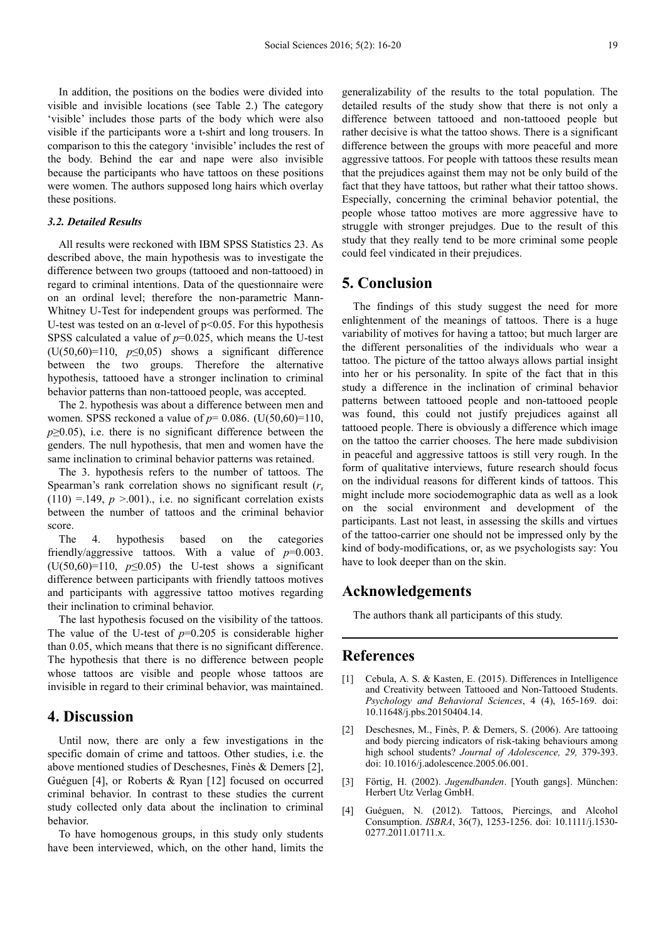In addition, the positions on the bodies were divided into visible and invisible locations (see Table 2.) The category 'visible' includes those parts of the body which were also visible if the participants wore a t-shirt and long trousers. In comparison to this the category 'invisible' includes the rest of the body. Behind the ear and nape were also invisible because the participants who have tattoos on these positions were women. The authors supposed long hairs which overlay these positions.

#### *3.2. Detailed Results*

All results were reckoned with IBM SPSS Statistics 23. As described above, the main hypothesis was to investigate the difference between two groups (tattooed and non-tattooed) in regard to criminal intentions. Data of the questionnaire were on an ordinal level; therefore the non-parametric Mann-Whitney U-Test for independent groups was performed. The U-test was tested on an  $\alpha$ -level of p<0.05. For this hypothesis SPSS calculated a value of *p*=0.025, which means the U-test ( $U(50,60)=110$ ,  $p\leq 0.05$ ) shows a significant difference between the two groups. Therefore the alternative hypothesis, tattooed have a stronger inclination to criminal behavior patterns than non-tattooed people, was accepted.

The 2. hypothesis was about a difference between men and women. SPSS reckoned a value of *p*= 0.086. (U(50,60)=110, *p*≥0.05), i.e. there is no significant difference between the genders. The null hypothesis, that men and women have the same inclination to criminal behavior patterns was retained.

The 3. hypothesis refers to the number of tattoos. The Spearman's rank correlation shows no significant result (*r<sup>s</sup>*  $(110) = 149$ ,  $p > 001$ )., i.e. no significant correlation exists between the number of tattoos and the criminal behavior score.

The 4. hypothesis based on the categories friendly/aggressive tattoos. With a value of *p*=0.003. (U(50,60)=110,  $p \le 0.05$ ) the U-test shows a significant difference between participants with friendly tattoos motives and participants with aggressive tattoo motives regarding their inclination to criminal behavior.

The last hypothesis focused on the visibility of the tattoos. The value of the U-test of  $p=0.205$  is considerable higher than 0.05, which means that there is no significant difference. The hypothesis that there is no difference between people whose tattoos are visible and people whose tattoos are invisible in regard to their criminal behavior, was maintained.

### **4. Discussion**

Until now, there are only a few investigations in the specific domain of crime and tattoos. Other studies, i.e. the above mentioned studies of Deschesnes, Finès & Demers [2], Guéguen [4], or Roberts & Ryan [12] focused on occurred criminal behavior. In contrast to these studies the current study collected only data about the inclination to criminal behavior.

To have homogenous groups, in this study only students have been interviewed, which, on the other hand, limits the generalizability of the results to the total population. The detailed results of the study show that there is not only a difference between tattooed and non-tattooed people but rather decisive is what the tattoo shows. There is a significant difference between the groups with more peaceful and more aggressive tattoos. For people with tattoos these results mean that the prejudices against them may not be only build of the fact that they have tattoos, but rather what their tattoo shows. Especially, concerning the criminal behavior potential, the people whose tattoo motives are more aggressive have to struggle with stronger prejudges. Due to the result of this study that they really tend to be more criminal some people could feel vindicated in their prejudices.

### **5. Conclusion**

The findings of this study suggest the need for more enlightenment of the meanings of tattoos. There is a huge variability of motives for having a tattoo; but much larger are the different personalities of the individuals who wear a tattoo. The picture of the tattoo always allows partial insight into her or his personality. In spite of the fact that in this study a difference in the inclination of criminal behavior patterns between tattooed people and non-tattooed people was found, this could not justify prejudices against all tattooed people. There is obviously a difference which image on the tattoo the carrier chooses. The here made subdivision in peaceful and aggressive tattoos is still very rough. In the form of qualitative interviews, future research should focus on the individual reasons for different kinds of tattoos. This might include more sociodemographic data as well as a look on the social environment and development of the participants. Last not least, in assessing the skills and virtues of the tattoo-carrier one should not be impressed only by the kind of body-modifications, or, as we psychologists say: You have to look deeper than on the skin.

### **Acknowledgements**

The authors thank all participants of this study.

## **References**

- [1] Cebula, A. S. & Kasten, E. (2015). Differences in Intelligence and Creativity between Tattooed and Non-Tattooed Students. *Psychology and Behavioral Sciences*, 4 (4), 165-169. doi: 10.11648/j.pbs.20150404.14.
- [2] Deschesnes, M., Finès, P. & Demers, S. (2006). Are tattooing and body piercing indicators of risk-taking behaviours among high school students? *Journal of Adolescence, 29,* 379-393. doi: 10.1016/j.adolescence.2005.06.001.
- [3] Förtig, H. (2002). *Jugendbanden*. [Youth gangs]. München: Herbert Utz Verlag GmbH.
- [4] Guéguen, N. (2012). Tattoos, Piercings, and Alcohol Consumption. *ISBRA*, 36(7), 1253-1256. doi: 10.1111/j.1530- 0277.2011.01711.x.